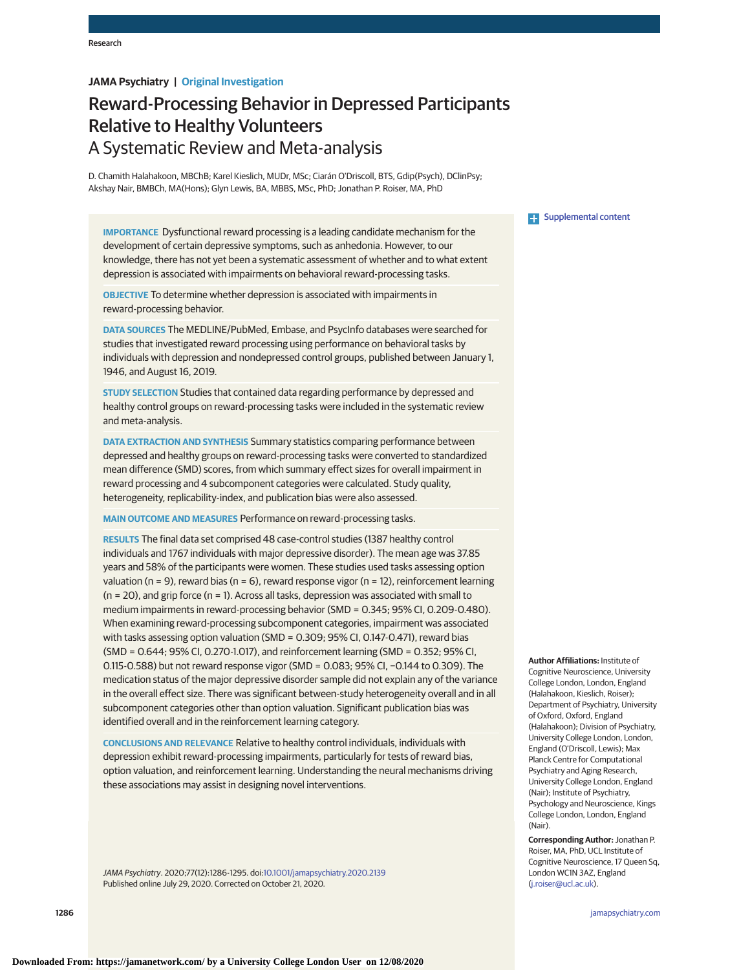# **JAMA Psychiatry | Original Investigation**

# Reward-Processing Behavior in Depressed Participants Relative to Healthy Volunteers A Systematic Review and Meta-analysis

D. Chamith Halahakoon, MBChB; Karel Kieslich, MUDr, MSc; Ciarán O'Driscoll, BTS, Gdip(Psych), DClinPsy; Akshay Nair, BMBCh, MA(Hons); Glyn Lewis, BA, MBBS, MSc, PhD; Jonathan P. Roiser, MA, PhD

**IMPORTANCE** Dysfunctional reward processing is a leading candidate mechanism for the development of certain depressive symptoms, such as anhedonia. However, to our knowledge, there has not yet been a systematic assessment of whether and to what extent depression is associated with impairments on behavioral reward-processing tasks.

**OBJECTIVE** To determine whether depression is associated with impairments in reward-processing behavior.

**DATA SOURCES** The MEDLINE/PubMed, Embase, and PsycInfo databases were searched for studies that investigated reward processing using performance on behavioral tasks by individuals with depression and nondepressed control groups, published between January 1, 1946, and August 16, 2019.

**STUDY SELECTION** Studies that contained data regarding performance by depressed and healthy control groups on reward-processing tasks were included in the systematic review and meta-analysis.

**DATA EXTRACTION AND SYNTHESIS** Summary statistics comparing performance between depressed and healthy groups on reward-processing tasks were converted to standardized mean difference (SMD) scores, from which summary effect sizes for overall impairment in reward processing and 4 subcomponent categories were calculated. Study quality, heterogeneity, replicability-index, and publication bias were also assessed.

**MAIN OUTCOME AND MEASURES** Performance on reward-processing tasks.

**RESULTS** The final data set comprised 48 case-control studies (1387 healthy control individuals and 1767 individuals with major depressive disorder). The mean age was 37.85 years and 58% of the participants were women. These studies used tasks assessing option valuation ( $n = 9$ ), reward bias ( $n = 6$ ), reward response vigor ( $n = 12$ ), reinforcement learning  $(n = 20)$ , and grip force  $(n = 1)$ . Across all tasks, depression was associated with small to medium impairments in reward-processing behavior (SMD = 0.345; 95% CI, 0.209-0.480). When examining reward-processing subcomponent categories, impairment was associated with tasks assessing option valuation (SMD = 0.309; 95% CI, 0.147-0.471), reward bias (SMD = 0.644; 95% CI, 0.270-1.017), and reinforcement learning (SMD = 0.352; 95% CI, 0.115-0.588) but not reward response vigor (SMD = 0.083; 95% CI, −0.144 to 0.309). The medication status of the major depressive disorder sample did not explain any of the variance in the overall effect size. There was significant between-study heterogeneity overall and in all subcomponent categories other than option valuation. Significant publication bias was identified overall and in the reinforcement learning category.

**CONCLUSIONS AND RELEVANCE** Relative to healthy control individuals, individuals with depression exhibit reward-processing impairments, particularly for tests of reward bias, option valuation, and reinforcement learning. Understanding the neural mechanisms driving these associations may assist in designing novel interventions.

JAMA Psychiatry. 2020;77(12):1286-1295. doi[:10.1001/jamapsychiatry.2020.2139](https://jamanetwork.com/journals/jama/fullarticle/10.1001/jamapsychiatry.2020.2139?utm_campaign=articlePDF%26utm_medium=articlePDFlink%26utm_source=articlePDF%26utm_content=jamapsychiatry.2020.2139) Published online July 29, 2020. Corrected on October 21, 2020.



**Author Affiliations:** Institute of Cognitive Neuroscience, University College London, London, England (Halahakoon, Kieslich, Roiser); Department of Psychiatry, University of Oxford, Oxford, England (Halahakoon); Division of Psychiatry, University College London, London, England (O'Driscoll, Lewis); Max Planck Centre for Computational Psychiatry and Aging Research, University College London, England (Nair); Institute of Psychiatry, Psychology and Neuroscience, Kings College London, London, England (Nair).

**Corresponding Author:** Jonathan P. Roiser, MA, PhD, UCL Institute of Cognitive Neuroscience, 17 Queen Sq, London WC1N 3AZ, England [\(j.roiser@ucl.ac.uk\)](mailto:j.roiser@ucl.ac.uk).

**1286 (Reprinted)** [jamapsychiatry.com](http://www.jamapsychiatry.com?utm_campaign=articlePDF%26utm_medium=articlePDFlink%26utm_source=articlePDF%26utm_content=jamapsychiatry.2020.2139)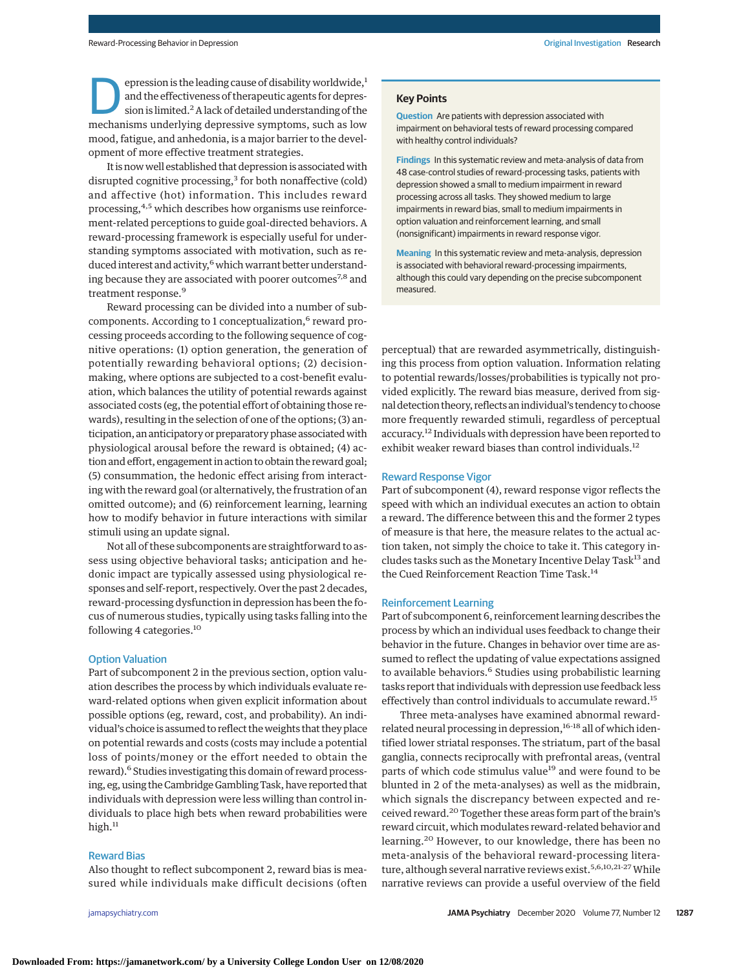epression is the leading cause of disability worldwide,<sup>1</sup><br>and the effectiveness of therapeutic agents for depression is limited.<sup>2</sup> A lack of detailed understanding of the<br>mochanisms underlying depressive symptoms, such a and the effectiveness of therapeutic agents for depresmechanisms underlying depressive symptoms, such as low mood, fatigue, and anhedonia, is a major barrier to the development of more effective treatment strategies.

It is now well established that depression is associated with disrupted cognitive processing,<sup>3</sup> for both nonaffective (cold) and affective (hot) information. This includes reward processing,<sup>4,5</sup> which describes how organisms use reinforcement-related perceptions to guide goal-directed behaviors. A reward-processing framework is especially useful for understanding symptoms associated with motivation, such as reduced interest and activity,<sup>6</sup> which warrant better understanding because they are associated with poorer outcomes<sup>7,8</sup> and treatment response.<sup>9</sup>

Reward processing can be divided into a number of subcomponents. According to 1 conceptualization,<sup>6</sup> reward processing proceeds according to the following sequence of cognitive operations: (1) option generation, the generation of potentially rewarding behavioral options; (2) decisionmaking, where options are subjected to a cost-benefit evaluation, which balances the utility of potential rewards against associated costs (eg, the potential effort of obtaining those rewards), resulting in the selection of one of the options; (3) anticipation, an anticipatory or preparatory phase associated with physiological arousal before the reward is obtained; (4) action and effort, engagement in action to obtain the reward goal; (5) consummation, the hedonic effect arising from interacting with the reward goal (or alternatively, the frustration of an omitted outcome); and (6) reinforcement learning, learning how to modify behavior in future interactions with similar stimuli using an update signal.

Not all of these subcomponents are straightforward to assess using objective behavioral tasks; anticipation and hedonic impact are typically assessed using physiological responses and self-report, respectively. Over the past 2 decades, reward-processing dysfunction in depression has been the focus of numerous studies, typically using tasks falling into the following 4 categories.<sup>10</sup>

## Option Valuation

Part of subcomponent 2 in the previous section, option valuation describes the process by which individuals evaluate reward-related options when given explicit information about possible options (eg, reward, cost, and probability). An individual's choice is assumed to reflect the weights that they place on potential rewards and costs (costs may include a potential loss of points/money or the effort needed to obtain the reward).<sup>6</sup> Studies investigating this domain of reward processing, eg, using the Cambridge Gambling Task, have reported that individuals with depression were less willing than control individuals to place high bets when reward probabilities were high. $11$ 

## Reward Bias

Also thought to reflect subcomponent 2, reward bias is measured while individuals make difficult decisions (often

#### **Key Points**

**Question** Are patients with depression associated with impairment on behavioral tests of reward processing compared with healthy control individuals?

**Findings** In this systematic review and meta-analysis of data from 48 case-control studies of reward-processing tasks, patients with depression showed a small to medium impairment in reward processing across all tasks. They showed medium to large impairments in reward bias, small to medium impairments in option valuation and reinforcement learning, and small (nonsignificant) impairments in reward response vigor.

**Meaning** In this systematic review and meta-analysis, depression is associated with behavioral reward-processing impairments, although this could vary depending on the precise subcomponent measured.

perceptual) that are rewarded asymmetrically, distinguishing this process from option valuation. Information relating to potential rewards/losses/probabilities is typically not provided explicitly. The reward bias measure, derived from signal detection theory, reflects an individual's tendency to choose more frequently rewarded stimuli, regardless of perceptual accuracy.12 Individuals with depression have been reported to exhibit weaker reward biases than control individuals.<sup>12</sup>

# Reward Response Vigor

Part of subcomponent (4), reward response vigor reflects the speed with which an individual executes an action to obtain a reward. The difference between this and the former 2 types of measure is that here, the measure relates to the actual action taken, not simply the choice to take it. This category includes tasks such as the Monetary Incentive Delay Task<sup>13</sup> and the Cued Reinforcement Reaction Time Task.<sup>14</sup>

#### Reinforcement Learning

Part of subcomponent 6, reinforcement learning describes the process by which an individual uses feedback to change their behavior in the future. Changes in behavior over time are assumed to reflect the updating of value expectations assigned to available behaviors.<sup>6</sup> Studies using probabilistic learning tasks report that individuals with depression use feedback less effectively than control individuals to accumulate reward.<sup>15</sup>

Three meta-analyses have examined abnormal rewardrelated neural processing in depression,<sup>16-18</sup> all of which identified lower striatal responses. The striatum, part of the basal ganglia, connects reciprocally with prefrontal areas, (ventral parts of which code stimulus value<sup>19</sup> and were found to be blunted in 2 of the meta-analyses) as well as the midbrain, which signals the discrepancy between expected and received reward.<sup>20</sup> Together these areas form part of the brain's reward circuit, which modulates reward-related behavior and learning.<sup>20</sup> However, to our knowledge, there has been no meta-analysis of the behavioral reward-processing literature, although several narrative reviews exist.<sup>5,6,10,21-27</sup> While narrative reviews can provide a useful overview of the field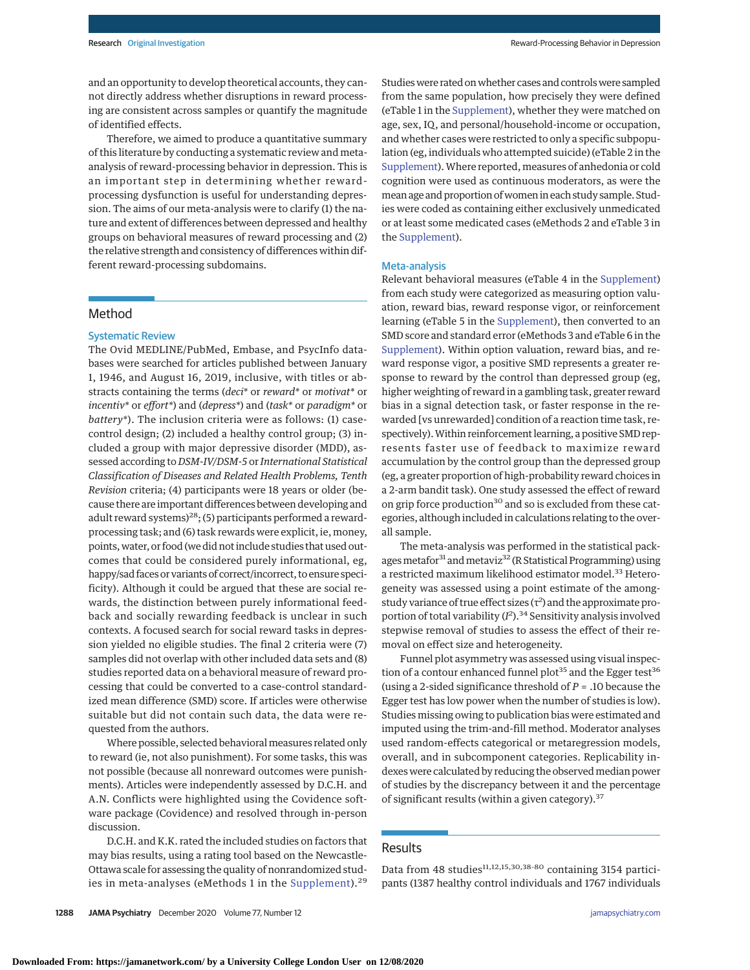and an opportunity to develop theoretical accounts, they cannot directly address whether disruptions in reward processing are consistent across samples or quantify the magnitude of identified effects.

Therefore, we aimed to produce a quantitative summary of this literature by conducting a systematic review and metaanalysis of reward-processing behavior in depression. This is an important step in determining whether rewardprocessing dysfunction is useful for understanding depression. The aims of our meta-analysis were to clarify (1) the nature and extent of differences between depressed and healthy groups on behavioral measures of reward processing and (2) the relative strength and consistency of differences within different reward-processing subdomains.

# Method

# Systematic Review

The Ovid MEDLINE/PubMed, Embase, and PsycInfo databases were searched for articles published between January 1, 1946, and August 16, 2019, inclusive, with titles or abstracts containing the terms (*deci\** or *reward\** or *motivat\** or *incentiv\** or *effort\**) and (*depress\**) and (*task\** or *paradigm\** or *battery\**). The inclusion criteria were as follows: (1) casecontrol design; (2) included a healthy control group; (3) included a group with major depressive disorder (MDD), assessed according to *DSM-IV/DSM-5* or *International Statistical Classification of Diseases and Related Health Problems, Tenth Revision* criteria; (4) participants were 18 years or older (because there are important differences between developing and adult reward systems)<sup>28</sup>; (5) participants performed a rewardprocessing task; and (6) task rewards were explicit, ie, money, points, water, or food (we did not include studies that used outcomes that could be considered purely informational, eg, happy/sad faces or variants of correct/incorrect, to ensure specificity). Although it could be argued that these are social rewards, the distinction between purely informational feedback and socially rewarding feedback is unclear in such contexts. A focused search for social reward tasks in depression yielded no eligible studies. The final 2 criteria were (7) samples did not overlap with other included data sets and (8) studies reported data on a behavioral measure of reward processing that could be converted to a case-control standardized mean difference (SMD) score. If articles were otherwise suitable but did not contain such data, the data were requested from the authors.

Where possible, selected behavioral measures related only to reward (ie, not also punishment). For some tasks, this was not possible (because all nonreward outcomes were punishments). Articles were independently assessed by D.C.H. and A.N. Conflicts were highlighted using the Covidence software package (Covidence) and resolved through in-person discussion.

D.C.H. and K.K. rated the included studies on factors that may bias results, using a rating tool based on the Newcastle-Ottawa scale for assessing the quality of nonrandomized stud-ies in meta-analyses (eMethods 1 in the [Supplement\)](https://jamanetwork.com/journals/jama/fullarticle/10.1001/jamapsychiatry.2020.2139?utm_campaign=articlePDF%26utm_medium=articlePDFlink%26utm_source=articlePDF%26utm_content=jamapsychiatry.2020.2139).<sup>29</sup> Studies were rated on whether cases and controls were sampled from the same population, how precisely they were defined (eTable 1 in the [Supplement\)](https://jamanetwork.com/journals/jama/fullarticle/10.1001/jamapsychiatry.2020.2139?utm_campaign=articlePDF%26utm_medium=articlePDFlink%26utm_source=articlePDF%26utm_content=jamapsychiatry.2020.2139), whether they were matched on age, sex, IQ, and personal/household-income or occupation, and whether cases were restricted to only a specific subpopulation (eg, individuals who attempted suicide) (eTable 2 in the [Supplement\)](https://jamanetwork.com/journals/jama/fullarticle/10.1001/jamapsychiatry.2020.2139?utm_campaign=articlePDF%26utm_medium=articlePDFlink%26utm_source=articlePDF%26utm_content=jamapsychiatry.2020.2139).Where reported, measures of anhedonia or cold cognition were used as continuous moderators, as were the mean age and proportion of women in each study sample. Studies were coded as containing either exclusively unmedicated or at least some medicated cases (eMethods 2 and eTable 3 in the [Supplement\)](https://jamanetwork.com/journals/jama/fullarticle/10.1001/jamapsychiatry.2020.2139?utm_campaign=articlePDF%26utm_medium=articlePDFlink%26utm_source=articlePDF%26utm_content=jamapsychiatry.2020.2139).

#### Meta-analysis

Relevant behavioral measures (eTable 4 in the [Supplement\)](https://jamanetwork.com/journals/jama/fullarticle/10.1001/jamapsychiatry.2020.2139?utm_campaign=articlePDF%26utm_medium=articlePDFlink%26utm_source=articlePDF%26utm_content=jamapsychiatry.2020.2139) from each study were categorized as measuring option valuation, reward bias, reward response vigor, or reinforcement learning (eTable 5 in the [Supplement\)](https://jamanetwork.com/journals/jama/fullarticle/10.1001/jamapsychiatry.2020.2139?utm_campaign=articlePDF%26utm_medium=articlePDFlink%26utm_source=articlePDF%26utm_content=jamapsychiatry.2020.2139), then converted to an SMD score and standard error (eMethods 3 and eTable 6 in the [Supplement\)](https://jamanetwork.com/journals/jama/fullarticle/10.1001/jamapsychiatry.2020.2139?utm_campaign=articlePDF%26utm_medium=articlePDFlink%26utm_source=articlePDF%26utm_content=jamapsychiatry.2020.2139). Within option valuation, reward bias, and reward response vigor, a positive SMD represents a greater response to reward by the control than depressed group (eg, higher weighting of reward in a gambling task, greater reward bias in a signal detection task, or faster response in the rewarded [vs unrewarded] condition of a reaction time task, respectively).Within reinforcement learning, a positive SMD represents faster use of feedback to maximize reward accumulation by the control group than the depressed group (eg, a greater proportion of high-probability reward choices in a 2-arm bandit task). One study assessed the effect of reward on grip force production<sup>30</sup> and so is excluded from these categories, although included in calculations relating to the overall sample.

The meta-analysis was performed in the statistical packages metafor<sup>31</sup> and metaviz<sup>32</sup> (R Statistical Programming) using a restricted maximum likelihood estimator model.<sup>33</sup> Heterogeneity was assessed using a point estimate of the amongstudy variance of true effect sizes (τ*<sup>2</sup>* ) and the approximate proportion of total variability (*I 2* ).<sup>34</sup> Sensitivity analysis involved stepwise removal of studies to assess the effect of their removal on effect size and heterogeneity.

Funnel plot asymmetry was assessed using visual inspection of a contour enhanced funnel plot<sup>35</sup> and the Egger test<sup>36</sup> (using a 2-sided significance threshold of *P* = .10 because the Egger test has low power when the number of studies is low). Studies missing owing to publication bias were estimated and imputed using the trim-and-fill method. Moderator analyses used random-effects categorical or metaregression models, overall, and in subcomponent categories. Replicability indexes were calculated by reducing the observed median power of studies by the discrepancy between it and the percentage of significant results (within a given category).<sup>37</sup>

# Results

Data from 48 studies $11,12,15,30,38.80$  containing 3154 participants (1387 healthy control individuals and 1767 individuals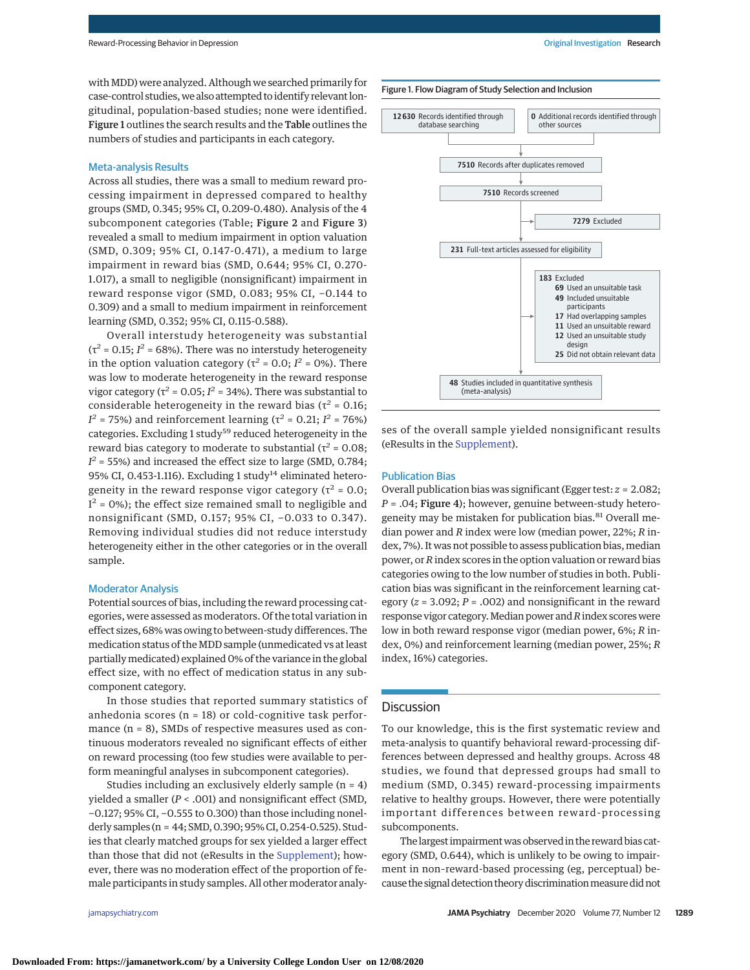with MDD) were analyzed. Although we searched primarily for case-control studies,we also attempted to identify relevant longitudinal, population-based studies; none were identified. Figure 1 outlines the search results and the Table outlines the numbers of studies and participants in each category.

# Meta-analysis Results

Across all studies, there was a small to medium reward processing impairment in depressed compared to healthy groups (SMD, 0.345; 95% CI, 0.209-0.480). Analysis of the 4 subcomponent categories (Table; Figure 2 and Figure 3) revealed a small to medium impairment in option valuation (SMD, 0.309; 95% CI, 0.147-0.471), a medium to large impairment in reward bias (SMD, 0.644; 95% CI, 0.270- 1.017), a small to negligible (nonsignificant) impairment in reward response vigor (SMD, 0.083; 95% CI, −0.144 to 0.309) and a small to medium impairment in reinforcement learnin*g* (SMD, 0.352; 95% CI, 0.115-0.588).

Overall interstudy heterogeneity was substantial  $(\tau^2 = 0.15; I^2 = 68\%)$ . There was no interstudy heterogeneity in the option valuation category ( $\tau^2$  = 0.0;  $I^2$  = 0%). There was low to moderate heterogeneity in the reward response vigor category ( $\tau^2$  = 0.05;  $I^2$  = 34%). There was substantial to considerable heterogeneity in the reward bias ( $\tau^2$  = 0.16; *I*<sup>2</sup> = 75%) and reinforcement learning (τ<sup>2</sup> = 0.21; *I*<sup>2</sup> = 76%) categories. Excluding 1 study<sup>59</sup> reduced heterogeneity in the reward bias category to moderate to substantial ( $τ² = 0.08$ ;  $I^2$  = 55%) and increased the effect size to large (SMD, 0.784; 95% CI, 0.453-1.116). Excluding 1 study<sup>14</sup> eliminated heterogeneity in the reward response vigor category ( $\tau^2$  = 0.0;  $I<sup>2</sup> = 0$ %); the effect size remained small to negligible and nonsignificant (SMD, 0.157; 95% CI, −0.033 to 0.347). Removing individual studies did not reduce interstudy heterogeneity either in the other categories or in the overall sample.

#### Moderator Analysis

Potential sources of bias, including the reward processing categories, were assessed as moderators. Of the total variation in effect sizes, 68% was owing to between-study differences. The medication status of the MDD sample (unmedicated vs at least partiallymedicated) explained 0% of the variance in the global effect size, with no effect of medication status in any subcomponent category.

In those studies that reported summary statistics of anhedonia scores (n = 18) or cold-cognitive task performance (n = 8), SMDs of respective measures used as continuous moderators revealed no significant effects of either on reward processing (too few studies were available to perform meaningful analyses in subcomponent categories).

Studies including an exclusively elderly sample  $(n = 4)$ yielded a smaller (*P* < .001) and nonsignificant effect (SMD, −0.127; 95% CI, −0.555 to 0.300) than those including nonelderly samples (n = 44; SMD, 0.390; 95% CI, 0.254-0.525). Studies that clearly matched groups for sex yielded a larger effect than those that did not (eResults in the [Supplement\)](https://jamanetwork.com/journals/jama/fullarticle/10.1001/jamapsychiatry.2020.2139?utm_campaign=articlePDF%26utm_medium=articlePDFlink%26utm_source=articlePDF%26utm_content=jamapsychiatry.2020.2139); however, there was no moderation effect of the proportion of female participants in study samples. All other moderator analy-



ses of the overall sample yielded nonsignificant results (eResults in the [Supplement\)](https://jamanetwork.com/journals/jama/fullarticle/10.1001/jamapsychiatry.2020.2139?utm_campaign=articlePDF%26utm_medium=articlePDFlink%26utm_source=articlePDF%26utm_content=jamapsychiatry.2020.2139).

# Publication Bias

Overall publication bias was significant (Egger test: *z* = 2.082; *P* = .04; Figure 4); however, genuine between-study heterogeneity may be mistaken for publication bias.<sup>81</sup> Overall median power and *R* index were low (median power, 22%; *R* index, 7%). It was not possible to assess publication bias, median power, or*R*index scores in the option valuation or reward bias categories owing to the low number of studies in both. Publication bias was significant in the reinforcement learning category (*z* = 3.092; *P* = .002) and nonsignificant in the reward response vigor category.Median power and*R*index scoreswere low in both reward response vigor (median power, 6%; *R* index, 0%) and reinforcement learning (median power, 25%; *R* index, 16%) categories.

# **Discussion**

To our knowledge, this is the first systematic review and meta-analysis to quantify behavioral reward-processing differences between depressed and healthy groups. Across 48 studies, we found that depressed groups had small to medium (SMD, 0.345) reward-processing impairments relative to healthy groups. However, there were potentially important differences between reward-processing subcomponents.

The largest impairment was observed in the reward bias category (SMD, 0.644), which is unlikely to be owing to impairment in non–reward-based processing (eg, perceptual) because the signal detection theory discrimination measure did not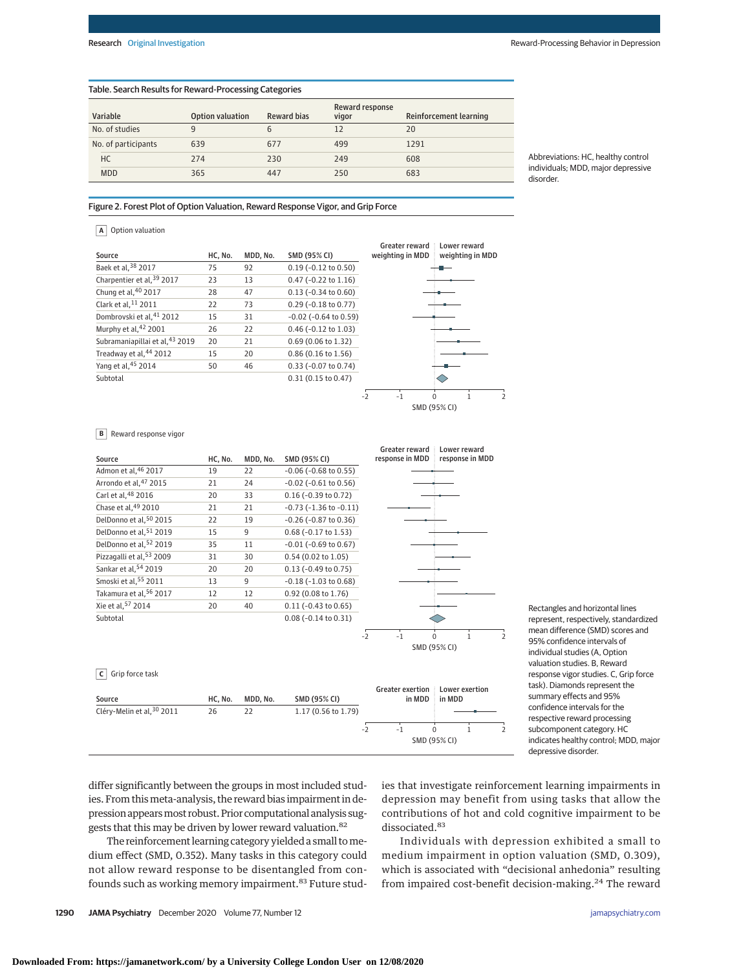#### Table. Search Results for Reward-Processing Categories

| Variable            | Option valuation | <b>Reward bias</b> | Reward response<br>vigor | Reinforcement learning |
|---------------------|------------------|--------------------|--------------------------|------------------------|
| No. of studies      | 9                | b                  | 12                       | 20                     |
| No. of participants | 639              | 677                | 499                      | 1291                   |
| HC                  | 274              | 230                | 249                      | 608                    |
| <b>MDD</b>          | 365              | 447                | 250                      | 683                    |

Abbreviations: HC, healthy control individuals; MDD, major depressive disorder.

#### Figure 2. Forest Plot of Option Valuation, Reward Response Vigor, and Grip Force

## **A** Option valuation

| Source                               | HC, No. | MDD. No. | SMD (95% CI)                  |              | Greater reward<br>weighting in MDD |          | Lower reward<br>weighting in MDD |                          |
|--------------------------------------|---------|----------|-------------------------------|--------------|------------------------------------|----------|----------------------------------|--------------------------|
| Baek et al. <sup>38</sup> 2017       | 75      | 92       | $0.19$ (-0.12 to 0.50)        |              |                                    |          |                                  |                          |
| Charpentier et al, 39 2017           | 23      | 13       | $0.47$ (-0.22 to 1.16)        |              |                                    |          |                                  |                          |
| Chung et al, 40 2017                 | 28      | 47       | $0.13$ (-0.34 to 0.60)        |              |                                    |          |                                  |                          |
| Clark et al, <sup>11</sup> 2011      | 22      | 73       | $0.29$ (-0.18 to 0.77)        |              |                                    |          |                                  |                          |
| Dombrovski et al. <sup>41</sup> 2012 | 15      | 31       | $-0.02$ ( $-0.64$ to $0.59$ ) |              |                                    |          |                                  |                          |
| Murphy et al, 42 2001                | 26      | 22       | 0.46 (-0.12 to 1.03)          |              |                                    |          |                                  |                          |
| Subramaniapillai et al, 43 2019      | 20      | 21       | 0.69 (0.06 to 1.32)           |              |                                    |          |                                  |                          |
| Treadway et al, 44 2012              | 15      | 20       | 0.86 (0.16 to 1.56)           |              |                                    |          |                                  |                          |
| Yang et al, 45 2014                  | 50      | 46       | 0.33 (-0.07 to 0.74)          |              |                                    |          |                                  |                          |
| Subtotal                             |         |          | 0.31(0.15 to 0.47)            |              |                                    |          |                                  |                          |
|                                      |         |          |                               | $-2$         | $-1$                               | $\Omega$ |                                  | $\overline{\phantom{a}}$ |
|                                      |         |          |                               | SMD (95% CI) |                                    |          |                                  |                          |

#### **B** Reward response vigor

|                            |         |          |                                | <b>Greater reward</b>   | Lower reward                                                  |
|----------------------------|---------|----------|--------------------------------|-------------------------|---------------------------------------------------------------|
| Source                     | HC, No. | MDD, No. | <b>SMD (95% CI)</b>            | response in MDD         | response in MDD                                               |
| Admon et al, 46 2017       | 19      | 22       | $-0.06$ ( $-0.68$ to $0.55$ )  |                         |                                                               |
| Arrondo et al, 47 2015     | 21      | 24       | $-0.02$ ( $-0.61$ to $0.56$ )  |                         |                                                               |
| Carl et al, 48 2016        | 20      | 33       | $0.16$ (-0.39 to 0.72)         |                         |                                                               |
| Chase et al, 49 2010       | 21      | 21       | $-0.73$ ( $-1.36$ to $-0.11$ ) |                         |                                                               |
| DelDonno et al, 50 2015    | 22      | 19       | $-0.26$ ( $-0.87$ to $0.36$ )  |                         |                                                               |
| DelDonno et al, 51 2019    | 15      | 9        | 0.68 (-0.17 to 1.53)           |                         |                                                               |
| DelDonno et al, 52 2019    | 35      | 11       | $-0.01$ ( $-0.69$ to $0.67$ )  |                         |                                                               |
| Pizzagalli et al, 53 2009  | 31      | 30       | 0.54 (0.02 to 1.05)            |                         |                                                               |
| Sankar et al, 54 2019      | 20      | 20       | $0.13$ (-0.49 to 0.75)         |                         |                                                               |
| Smoski et al, 55 2011      | 13      | 9        | $-0.18$ ( $-1.03$ to $0.68$ )  |                         |                                                               |
| Takamura et al, 56 2017    | 12      | 12       | 0.92 (0.08 to 1.76)            |                         |                                                               |
| Xie et al, 57 2014         | 20      | 40       | $0.11 (-0.43 to 0.65)$         |                         |                                                               |
| Subtotal                   |         |          | $0.08$ (-0.14 to 0.31)         |                         |                                                               |
|                            |         |          |                                | $-2$<br>$-1$            | $\mathbf{1}$<br>$\Omega$<br>$\overline{2}$                    |
|                            |         |          |                                |                         | SMD (95% CI)                                                  |
|                            |         |          |                                |                         |                                                               |
| Grip force task            |         |          |                                |                         |                                                               |
|                            |         |          |                                | <b>Greater exertion</b> | Lower exertion                                                |
| Source                     | HC, No. | MDD, No. | SMD (95% CI)                   | in MDD                  | in MDD                                                        |
| Cléry-Melin et al, 30 2011 | 26      | 22       | 1.17 (0.56 to 1.79)            |                         |                                                               |
|                            |         |          |                                | $-2$                    |                                                               |
|                            |         |          |                                | $-1$                    | $\mathbf 0$<br>$\mathbf{1}$<br>$\overline{2}$<br>SMD (95% CI) |
|                            |         |          |                                |                         |                                                               |
|                            |         |          |                                |                         |                                                               |

Rectangles and horizontal lines represent, respectively, standardized mean difference (SMD) scores and 95% confidence intervals of individual studies (A, Option valuation studies. B, Reward response vigor studies. C, Grip force task). Diamonds represent the summary effects and 95% confidence intervals for the respective reward processing subcomponent category. HC indicates healthy control; MDD, major depressive disorder.

differ significantly between the groups in most included studies. From this meta-analysis, the reward bias impairment in depression appears most robust. Prior computational analysis suggests that this may be driven by lower reward valuation.<sup>82</sup>

The reinforcement learning category yielded a small tomedium effect (SMD, 0.352). Many tasks in this category could not allow reward response to be disentangled from confounds such as working memory impairment.<sup>83</sup> Future studies that investigate reinforcement learning impairments in depression may benefit from using tasks that allow the contributions of hot and cold cognitive impairment to be dissociated.<sup>83</sup>

Individuals with depression exhibited a small to medium impairment in option valuation (SMD, 0.309), which is associated with "decisional anhedonia" resulting from impaired cost-benefit decision-making.<sup>24</sup> The reward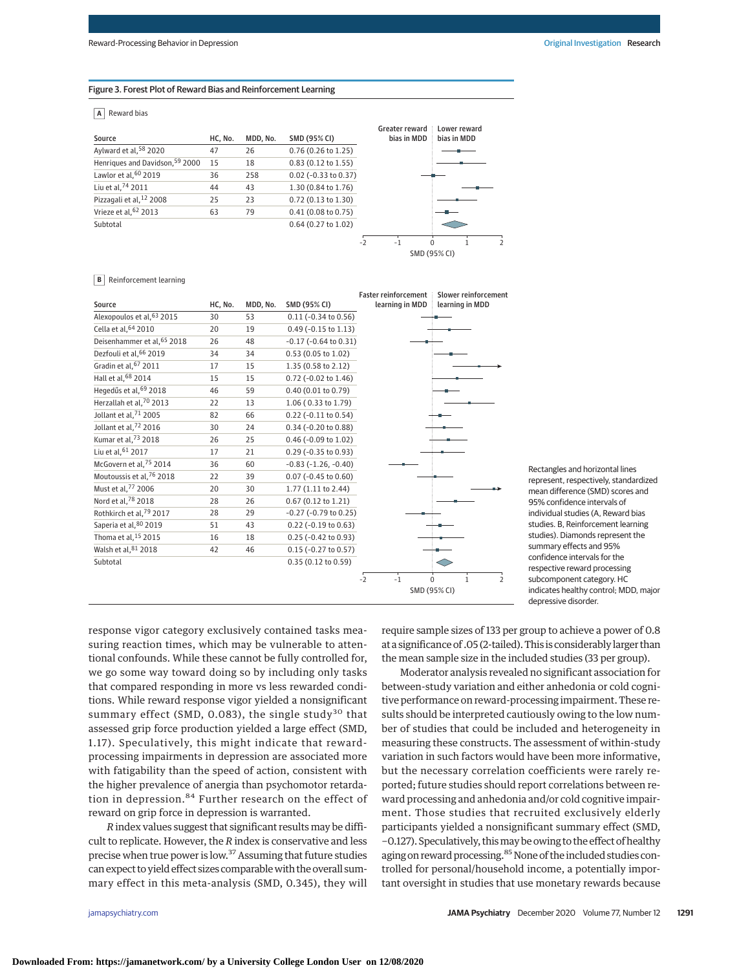#### Figure 3. Forest Plot of Reward Bias and Reinforcement Learning

## **A** Reward bias

| Source                          | HC, No. | MDD, No. | <b>SMD (95% CI)</b>    | Greater reward<br>bias in MDD | Lower reward<br>bias in MDD |
|---------------------------------|---------|----------|------------------------|-------------------------------|-----------------------------|
| Aylward et al, 58 2020          | 47      | 26       | $0.76$ (0.26 to 1.25)  |                               |                             |
| Henriques and Davidson, 59 2000 | 15      | 18       | $0.83$ (0.12 to 1.55)  |                               |                             |
| Lawlor et al, 60 2019           | 36      | 258      | $0.02$ (-0.33 to 0.37) |                               |                             |
| Liu et al, 74 2011              | 44      | 43       | 1.30 (0.84 to 1.76)    |                               |                             |
| Pizzagali et al, 12 2008        | 25      | 23       | 0.72 (0.13 to 1.30)    |                               |                             |
| Vrieze et al, 62 2013           | 63      | 79       | 0.41(0.08 to 0.75)     |                               |                             |
| Subtotal                        |         |          | 0.64 (0.27 to 1.02)    |                               |                             |
|                                 |         |          |                        | $\Omega$<br>$-1$<br>$-2$      |                             |
|                                 |         |          |                        |                               | $SMD (95\% CI)$             |

#### **B** Reinforcement learning

|                               |         |          |                               | <b>Faster reinforcement</b> | Slower reinforcement                          |
|-------------------------------|---------|----------|-------------------------------|-----------------------------|-----------------------------------------------|
| Source                        | HC, No. | MDD, No. | SMD (95% CI)                  | learning in MDD             | learning in MDD                               |
| Alexopoulos et al, 63 2015    | 30      | 53       | $0.11$ (-0.34 to 0.56)        |                             |                                               |
| Cella et al, 64 2010          | 20      | 19       | $0.49$ (-0.15 to 1.13)        |                             |                                               |
| Deisenhammer et al, 65 2018   | 26      | 48       | $-0.17$ ( $-0.64$ to $0.31$ ) |                             |                                               |
| Dezfouli et al, 66 2019       | 34      | 34       | 0.53 (0.05 to 1.02)           |                             |                                               |
| Gradin et al, 67 2011         | 17      | 15       | 1.35 (0.58 to 2.12)           |                             |                                               |
| Hall et al, 68 2014           | 15      | 15       | 0.72 (-0.02 to 1.46)          |                             |                                               |
| Hegedűs et al, 69 2018        | 46      | 59       | 0.40 (0.01 to 0.79)           |                             |                                               |
| Herzallah et al, 70 2013      | 22      | 13       | 1.06 (0.33 to 1.79)           |                             |                                               |
| Jollant et al, 71 2005        | 82      | 66       | 0.22 (-0.11 to 0.54)          |                             |                                               |
| Jollant et al, 72 2016        | 30      | 24       | 0.34 (-0.20 to 0.88)          |                             |                                               |
| Kumar et al, 73 2018          | 26      | 25       | 0.46 (-0.09 to 1.02)          |                             |                                               |
| Liu et al, <sup>61</sup> 2017 | 17      | 21       | $0.29$ (-0.35 to 0.93)        |                             |                                               |
| McGovern et al, 75 2014       | 36      | 60       | $-0.83(-1.26, -0.40)$         |                             |                                               |
| Moutoussis et al, 76 2018     | 22      | 39       | $0.07$ (-0.45 to 0.60)        |                             |                                               |
| Must et al, 77 2006           | 20      | 30       | 1.77 (1.11 to 2.44)           |                             |                                               |
| Nord et al, 78 2018           | 28      | 26       | 0.67 (0.12 to 1.21)           |                             |                                               |
| Rothkirch et al, 79 2017      | 28      | 29       | $-0.27$ ( $-0.79$ to 0.25)    |                             |                                               |
| Saperia et al, 80 2019        | 51      | 43       | $0.22$ (-0.19 to 0.63)        |                             |                                               |
| Thoma et al, 15 2015          | 16      | 18       | 0.25 (-0.42 to 0.93)          |                             |                                               |
| Walsh et al, 81 2018          | 42      | 46       | $0.15$ (-0.27 to 0.57)        |                             |                                               |
| Subtotal                      |         |          | 0.35 (0.12 to 0.59)           |                             |                                               |
|                               |         |          |                               | $-1$<br>$-2$                | $\mathbf{1}$<br>$\mathbf 0$<br>$\overline{2}$ |
|                               |         |          |                               |                             | SMD (95% CI)                                  |

Rectangles and horizontal lines represent, respectively, standardized mean difference (SMD) scores and 95% confidence intervals of individual studies (A, Reward bias studies. B, Reinforcement learning studies). Diamonds represent the summary effects and 95% confidence intervals for the respective reward processing subcomponent category. HC indicates healthy control; MDD, major depressive disorder.

response vigor category exclusively contained tasks measuring reaction times, which may be vulnerable to attentional confounds. While these cannot be fully controlled for, we go some way toward doing so by including only tasks that compared responding in more vs less rewarded conditions. While reward response vigor yielded a nonsignificant summary effect (SMD, 0.083), the single study<sup>30</sup> that assessed grip force production yielded a large effect (SMD, 1.17). Speculatively, this might indicate that rewardprocessing impairments in depression are associated more with fatigability than the speed of action, consistent with the higher prevalence of anergia than psychomotor retardation in depression.<sup>84</sup> Further research on the effect of reward on grip force in depression is warranted.

*R*index values suggest that significant results may be difficult to replicate. However, the *R* index is conservative and less precise when true power is low.37 Assuming that future studies can expect to yield effect sizes comparablewith the overall summary effect in this meta-analysis (SMD, 0.345), they will require sample sizes of 133 per group to achieve a power of 0.8 at a significance of .05 (2-tailed). This is considerably larger than the mean sample size in the included studies (33 per group).

Moderator analysis revealed no significant association for between-study variation and either anhedonia or cold cognitive performance on reward-processing impairment. These results should be interpreted cautiously owing to the low number of studies that could be included and heterogeneity in measuring these constructs. The assessment of within-study variation in such factors would have been more informative, but the necessary correlation coefficients were rarely reported; future studies should report correlations between reward processing and anhedonia and/or cold cognitive impairment. Those studies that recruited exclusively elderly participants yielded a nonsignificant summary effect (SMD, −0.127). Speculatively, thismay be owing to the effect of healthy aging on reward processing.<sup>85</sup> None of the included studies controlled for personal/household income, a potentially important oversight in studies that use monetary rewards because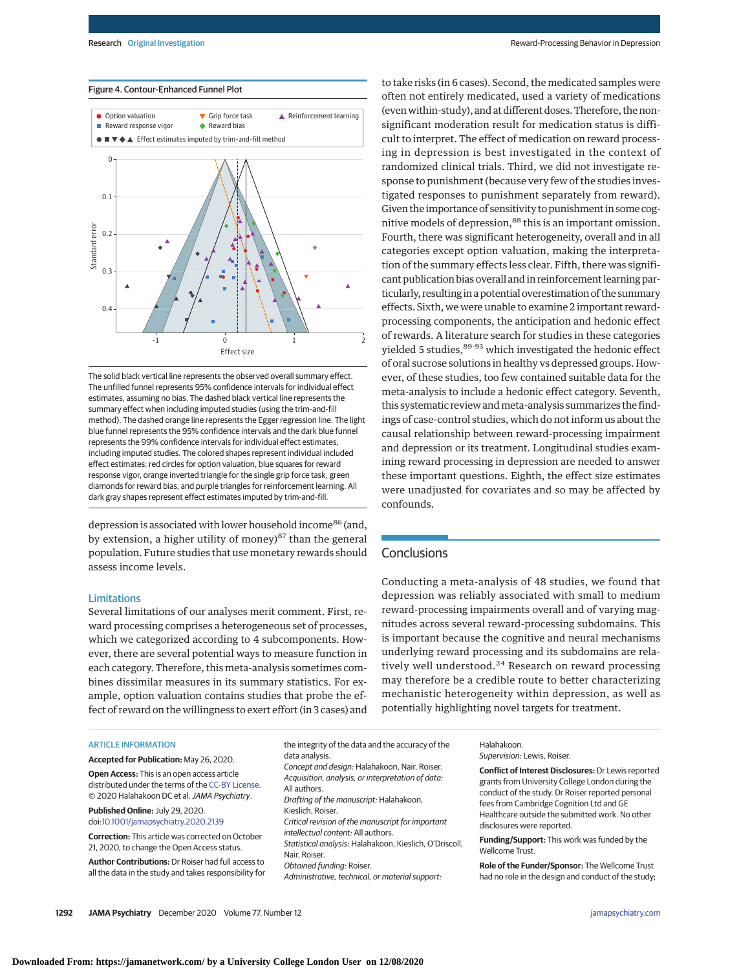#### Figure 4. Contour-Enhanced Funnel Plot



The solid black vertical line represents the observed overall summary effect. The unfilled funnel represents 95% confidence intervals for individual effect estimates, assuming no bias. The dashed black vertical line represents the summary effect when including imputed studies (using the trim-and-fill method). The dashed orange line represents the Egger regression line. The light blue funnel represents the 95% confidence intervals and the dark blue funnel represents the 99% confidence intervals for individual effect estimates, including imputed studies. The colored shapes represent individual included effect estimates: red circles for option valuation, blue squares for reward response vigor, orange inverted triangle for the single grip force task, green diamonds for reward bias, and purple triangles for reinforcement learning. All dark gray shapes represent effect estimates imputed by trim-and-fill.

depression is associated with lower household income<sup>86</sup> (and, by extension, a higher utility of money)<sup>87</sup> than the general population. Future studies that use monetary rewards should assess income levels.

## Limitations

Several limitations of our analyses merit comment. First, reward processing comprises a heterogeneous set of processes, which we categorized according to 4 subcomponents. However, there are several potential ways to measure function in each category. Therefore, this meta-analysis sometimes combines dissimilar measures in its summary statistics. For example, option valuation contains studies that probe the effect of reward on the willingness to exert effort (in 3 cases) and

#### ARTICLE INFORMATION

**Accepted for Publication:** May 26, 2020. **Open Access:** This is an open access article

distributed under the terms of the [CC-BY License.](https://jamanetwork.com/journals/jamapsychiatry/pages/instructions-for-authors?utm_campaign=articlePDF%26utm_medium=articlePDFlink%26utm_source=articlePDF%26utm_content=jamapsychiatry.2020.2139#SecOpenAccess) © 2020 Halahakoon DC et al.JAMA Psychiatry.

#### **Published Online:** July 29, 2020. doi[:10.1001/jamapsychiatry.2020.2139](https://jamanetwork.com/journals/jama/fullarticle/10.1001/jamapsychiatry.2020.2139?utm_campaign=articlePDF%26utm_medium=articlePDFlink%26utm_source=articlePDF%26utm_content=jamapsychiatry.2020.2139)

**Correction:** This article was corrected on October 21, 2020, to change the Open Access status.

**Author Contributions:** Dr Roiser had full access to all the data in the study and takes responsibility for

Research Original Investigation **Research Original Investigation** Repression Reward-Processing Behavior in Depression

to take risks (in 6 cases). Second, the medicated samples were often not entirely medicated, used a variety of medications (even within-study), and at different doses. Therefore, the nonsignificant moderation result for medication status is difficult to interpret. The effect of medication on reward processing in depression is best investigated in the context of randomized clinical trials. Third, we did not investigate response to punishment (because very few of the studies investigated responses to punishment separately from reward). Given the importance of sensitivity to punishment in some cognitive models of depression,<sup>88</sup> this is an important omission. Fourth, there was significant heterogeneity, overall and in all categories except option valuation, making the interpretation of the summary effects less clear. Fifth, there was significant publication bias overall and in reinforcement learning particularly, resulting in a potential overestimation of the summary effects. Sixth, we were unable to examine 2 important rewardprocessing components, the anticipation and hedonic effect of rewards. A literature search for studies in these categories yielded 5 studies, <sup>89-93</sup> which investigated the hedonic effect of oral sucrose solutions in healthy vs depressed groups. However, of these studies, too few contained suitable data for the meta-analysis to include a hedonic effect category. Seventh, this systematic review andmeta-analysis summarizes the findings of case-control studies, which do not inform us about the causal relationship between reward-processing impairment and depression or its treatment. Longitudinal studies examining reward processing in depression are needed to answer these important questions. Eighth, the effect size estimates were unadjusted for covariates and so may be affected by confounds.

# **Conclusions**

Conducting a meta-analysis of 48 studies, we found that depression was reliably associated with small to medium reward-processing impairments overall and of varying magnitudes across several reward-processing subdomains. This is important because the cognitive and neural mechanisms underlying reward processing and its subdomains are relatively well understood.<sup>24</sup> Research on reward processing may therefore be a credible route to better characterizing mechanistic heterogeneity within depression, as well as potentially highlighting novel targets for treatment.

the integrity of the data and the accuracy of the data analysis. Concept and design: Halahakoon, Nair, Roiser. Acquisition, analysis, or interpretation of data: All authors. Drafting of the manuscript: Halahakoon, Kieslich, Roiser. Critical revision of the manuscript for important intellectual content: All authors. Statistical analysis: Halahakoon, Kieslich, O'Driscoll, Nair, Roiser. Obtained funding: Roiser. Administrative, technical, or material support:

Halahakoon. Supervision: Lewis, Roiser.

**Conflict of Interest Disclosures:** Dr Lewis reported grants from University College London during the conduct of the study. Dr Roiser reported personal fees from Cambridge Cognition Ltd and GE Healthcare outside the submitted work. No other disclosures were reported.

**Funding/Support:** This work was funded by the Wellcome Trust.

**Role of the Funder/Sponsor:** The Wellcome Trust had no role in the design and conduct of the study;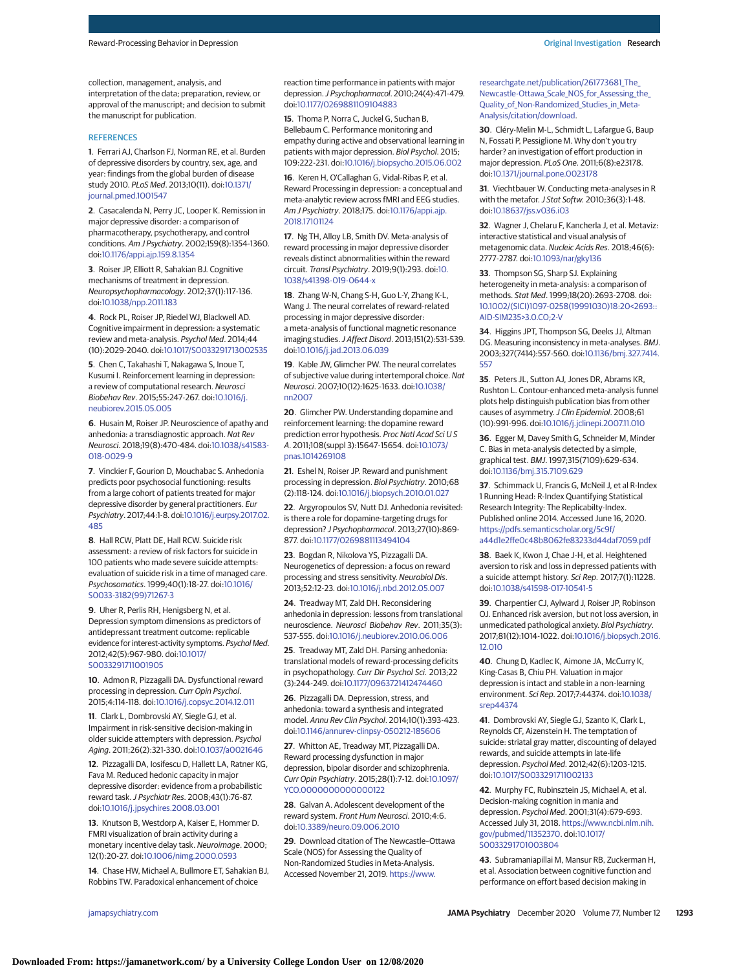collection, management, analysis, and interpretation of the data; preparation, review, or approval of the manuscript; and decision to submit the manuscript for publication.

#### **REFERENCES**

**1**. Ferrari AJ, Charlson FJ, Norman RE, et al. Burden of depressive disorders by country, sex, age, and year: findings from the global burden of disease study 2010. PLoS Med. 2013;10(11). doi[:10.1371/](https://dx.doi.org/10.1371/journal.pmed.1001547) [journal.pmed.1001547](https://dx.doi.org/10.1371/journal.pmed.1001547)

**2**. Casacalenda N, Perry JC, Looper K. Remission in major depressive disorder: a comparison of pharmacotherapy, psychotherapy, and control conditions. Am J Psychiatry. 2002;159(8):1354-1360. doi[:10.1176/appi.ajp.159.8.1354](https://dx.doi.org/10.1176/appi.ajp.159.8.1354)

**3**. Roiser JP, Elliott R, Sahakian BJ. Cognitive mechanisms of treatment in depression. Neuropsychopharmacology. 2012;37(1):117-136. doi[:10.1038/npp.2011.183](https://dx.doi.org/10.1038/npp.2011.183)

**4**. Rock PL, Roiser JP, Riedel WJ, Blackwell AD. Cognitive impairment in depression: a systematic review and meta-analysis. Psychol Med. 2014;44 (10):2029-2040. doi[:10.1017/S0033291713002535](https://dx.doi.org/10.1017/S0033291713002535)

**5**. Chen C, Takahashi T, Nakagawa S, Inoue T, Kusumi I. Reinforcement learning in depression: a review of computational research. Neurosci Biobehav Rev. 2015;55:247-267. doi[:10.1016/j.](https://dx.doi.org/10.1016/j.neubiorev.2015.05.005) [neubiorev.2015.05.005](https://dx.doi.org/10.1016/j.neubiorev.2015.05.005)

**6**. Husain M, Roiser JP. Neuroscience of apathy and anhedonia: a transdiagnostic approach. Nat Rev Neurosci. 2018;19(8):470-484. doi[:10.1038/s41583-](https://dx.doi.org/10.1038/s41583-018-0029-9) [018-0029-9](https://dx.doi.org/10.1038/s41583-018-0029-9)

**7**. Vinckier F, Gourion D, Mouchabac S. Anhedonia predicts poor psychosocial functioning: results from a large cohort of patients treated for major depressive disorder by general practitioners. Eur Psychiatry. 2017;44:1-8. doi[:10.1016/j.eurpsy.2017.02.](https://dx.doi.org/10.1016/j.eurpsy.2017.02.485) [485](https://dx.doi.org/10.1016/j.eurpsy.2017.02.485)

**8**. Hall RCW, Platt DE, Hall RCW. Suicide risk assessment: a review of risk factors for suicide in 100 patients who made severe suicide attempts: evaluation of suicide risk in a time of managed care. Psychosomatics. 1999;40(1):18-27. doi[:10.1016/](https://dx.doi.org/10.1016/S0033-3182(99)71267-3) [S0033-3182\(99\)71267-3](https://dx.doi.org/10.1016/S0033-3182(99)71267-3)

**9**. Uher R, Perlis RH, Henigsberg N, et al. Depression symptom dimensions as predictors of antidepressant treatment outcome: replicable evidence for interest-activity symptoms. Psychol Med. 2012;42(5):967-980. doi[:10.1017/](https://dx.doi.org/10.1017/S0033291711001905) [S0033291711001905](https://dx.doi.org/10.1017/S0033291711001905)

**10**. Admon R, Pizzagalli DA. Dysfunctional reward processing in depression. Curr Opin Psychol. 2015;4:114-118. doi[:10.1016/j.copsyc.2014.12.011](https://dx.doi.org/10.1016/j.copsyc.2014.12.011)

**11**. Clark L, Dombrovski AY, Siegle GJ, et al. Impairment in risk-sensitive decision-making in older suicide attempters with depression. Psychol Aging. 2011;26(2):321-330. doi[:10.1037/a0021646](https://dx.doi.org/10.1037/a0021646)

**12**. Pizzagalli DA, Iosifescu D, Hallett LA, Ratner KG, Fava M. Reduced hedonic capacity in major depressive disorder: evidence from a probabilistic reward task.J Psychiatr Res. 2008;43(1):76-87. doi[:10.1016/j.jpsychires.2008.03.001](https://dx.doi.org/10.1016/j.jpsychires.2008.03.001)

**13**. Knutson B, Westdorp A, Kaiser E, Hommer D. FMRI visualization of brain activity during a monetary incentive delay task. Neuroimage. 2000; 12(1):20-27. doi[:10.1006/nimg.2000.0593](https://dx.doi.org/10.1006/nimg.2000.0593)

**14**. Chase HW, Michael A, Bullmore ET, Sahakian BJ, Robbins TW. Paradoxical enhancement of choice

reaction time performance in patients with major depression.J Psychopharmacol. 2010;24(4):471-479. doi[:10.1177/0269881109104883](https://dx.doi.org/10.1177/0269881109104883)

**15**. Thoma P, Norra C, Juckel G, Suchan B, Bellebaum C. Performance monitoring and empathy during active and observational learning in patients with major depression. Biol Psychol. 2015; 109:222-231. doi[:10.1016/j.biopsycho.2015.06.002](https://dx.doi.org/10.1016/j.biopsycho.2015.06.002)

**16**. Keren H, O'Callaghan G, Vidal-Ribas P, et al. Reward Processing in depression: a conceptual and meta-analytic review across fMRI and EEG studies. Am J Psychiatry. 2018;175. doi[:10.1176/appi.ajp.](https://dx.doi.org/10.1176/appi.ajp.2018.17101124) [2018.17101124](https://dx.doi.org/10.1176/appi.ajp.2018.17101124)

**17**. Ng TH, Alloy LB, Smith DV. Meta-analysis of reward processing in major depressive disorder reveals distinct abnormalities within the reward circuit. Transl Psychiatry. 2019;9(1):293. doi[:10.](https://dx.doi.org/10.1038/s41398-019-0644-x) [1038/s41398-019-0644-x](https://dx.doi.org/10.1038/s41398-019-0644-x)

**18**. Zhang W-N, Chang S-H, Guo L-Y, Zhang K-L, Wang J. The neural correlates of reward-related processing in major depressive disorder: a meta-analysis of functional magnetic resonance imaging studies.J Affect Disord. 2013;151(2):531-539. doi[:10.1016/j.jad.2013.06.039](https://dx.doi.org/10.1016/j.jad.2013.06.039)

**19**. Kable JW, Glimcher PW. The neural correlates of subjective value during intertemporal choice. Nat Neurosci. 2007;10(12):1625-1633. doi[:10.1038/](https://dx.doi.org/10.1038/nn2007) [nn2007](https://dx.doi.org/10.1038/nn2007)

**20**. Glimcher PW. Understanding dopamine and reinforcement learning: the dopamine reward prediction error hypothesis. Proc Natl Acad Sci U S A. 2011;108(suppl 3):15647-15654. doi[:10.1073/](https://dx.doi.org/10.1073/pnas.1014269108) [pnas.1014269108](https://dx.doi.org/10.1073/pnas.1014269108)

**21**. Eshel N, Roiser JP. Reward and punishment processing in depression. Biol Psychiatry. 2010;68 (2):118-124. doi[:10.1016/j.biopsych.2010.01.027](https://dx.doi.org/10.1016/j.biopsych.2010.01.027)

**22**. Argyropoulos SV, Nutt DJ. Anhedonia revisited: is there a role for dopamine-targeting drugs for depression? J Psychopharmacol. 2013;27(10):869- 877. doi[:10.1177/0269881113494104](https://dx.doi.org/10.1177/0269881113494104)

**23**. Bogdan R, Nikolova YS, Pizzagalli DA. Neurogenetics of depression: a focus on reward processing and stress sensitivity. Neurobiol Dis. 2013;52:12-23. doi[:10.1016/j.nbd.2012.05.007](https://dx.doi.org/10.1016/j.nbd.2012.05.007)

**24**. Treadway MT, Zald DH. Reconsidering anhedonia in depression: lessons from translational neuroscience. Neurosci Biobehav Rev. 2011;35(3): 537-555. doi[:10.1016/j.neubiorev.2010.06.006](https://dx.doi.org/10.1016/j.neubiorev.2010.06.006)

**25**. Treadway MT, Zald DH. Parsing anhedonia: translational models of reward-processing deficits in psychopathology. Curr Dir Psychol Sci. 2013;22 (3):244-249. doi[:10.1177/0963721412474460](https://dx.doi.org/10.1177/0963721412474460)

**26**. Pizzagalli DA. Depression, stress, and anhedonia: toward a synthesis and integrated model. Annu Rev Clin Psychol. 2014;10(1):393-423. doi[:10.1146/annurev-clinpsy-050212-185606](https://dx.doi.org/10.1146/annurev-clinpsy-050212-185606)

**27**. Whitton AE, Treadway MT, Pizzagalli DA. Reward processing dysfunction in major depression, bipolar disorder and schizophrenia. Curr Opin Psychiatry. 2015;28(1):7-12. doi[:10.1097/](https://dx.doi.org/10.1097/YCO.0000000000000122) [YCO.0000000000000122](https://dx.doi.org/10.1097/YCO.0000000000000122)

**28**. Galvan A. Adolescent development of the reward system. Front Hum Neurosci. 2010;4:6. doi[:10.3389/neuro.09.006.2010](https://dx.doi.org/10.3389/neuro.09.006.2010)

**29**. Download citation of The Newcastle–Ottawa Scale (NOS) for Assessing the Quality of Non-Randomized Studies in Meta-Analysis. Accessed November 21, 2019. [https://www.](https://www.researchgate.net/publication/261773681_The_Newcastle-Ottawa_Scale_NOS_for_Assessing_the_Quality_of_Non-Randomized_Studies_in_Meta-Analysis/citation/download)

[researchgate.net/publication/261773681\\_The\\_](https://www.researchgate.net/publication/261773681_The_Newcastle-Ottawa_Scale_NOS_for_Assessing_the_Quality_of_Non-Randomized_Studies_in_Meta-Analysis/citation/download) [Newcastle-Ottawa\\_Scale\\_NOS\\_for\\_Assessing\\_the\\_](https://www.researchgate.net/publication/261773681_The_Newcastle-Ottawa_Scale_NOS_for_Assessing_the_Quality_of_Non-Randomized_Studies_in_Meta-Analysis/citation/download) [Quality\\_of\\_Non-Randomized\\_Studies\\_in\\_Meta-](https://www.researchgate.net/publication/261773681_The_Newcastle-Ottawa_Scale_NOS_for_Assessing_the_Quality_of_Non-Randomized_Studies_in_Meta-Analysis/citation/download)[Analysis/citation/download.](https://www.researchgate.net/publication/261773681_The_Newcastle-Ottawa_Scale_NOS_for_Assessing_the_Quality_of_Non-Randomized_Studies_in_Meta-Analysis/citation/download)

**30**. Cléry-Melin M-L, Schmidt L, Lafargue G, Baup N, Fossati P, Pessiglione M. Why don't you try harder? an investigation of effort production in major depression. PLoS One. 2011;6(8):e23178. doi[:10.1371/journal.pone.0023178](https://dx.doi.org/10.1371/journal.pone.0023178)

**31**. Viechtbauer W. Conducting meta-analyses in R with the metafor. J Stat Softw. 2010;36(3):1-48. doi[:10.18637/jss.v036.i03](https://dx.doi.org/10.18637/jss.v036.i03)

**32**. Wagner J, Chelaru F, Kancherla J, et al. Metaviz: interactive statistical and visual analysis of metagenomic data. Nucleic Acids Res. 2018;46(6): 2777-2787. doi[:10.1093/nar/gky136](https://dx.doi.org/10.1093/nar/gky136)

**33**. Thompson SG, Sharp SJ. Explaining heterogeneity in meta-analysis: a comparison of methods. Stat Med. 1999;18(20):2693-2708. doi: [10.1002/\(SICI\)1097-0258\(19991030\)18:20<2693::](https://dx.doi.org/10.1002/(SICI)1097-0258(19991030)18:20%3C2693::AID-SIM235%3E3.0.CO;2-V) [AID-SIM235>3.0.CO;2-V](https://dx.doi.org/10.1002/(SICI)1097-0258(19991030)18:20%3C2693::AID-SIM235%3E3.0.CO;2-V)

**34**. Higgins JPT, Thompson SG, Deeks JJ, Altman DG. Measuring inconsistency in meta-analyses. BMJ. 2003;327(7414):557-560. doi[:10.1136/bmj.327.7414.](https://dx.doi.org/10.1136/bmj.327.7414.557) [557](https://dx.doi.org/10.1136/bmj.327.7414.557)

**35**. Peters JL, Sutton AJ, Jones DR, Abrams KR, Rushton L. Contour-enhanced meta-analysis funnel plots help distinguish publication bias from other causes of asymmetry. J Clin Epidemiol. 2008;61 (10):991-996. doi[:10.1016/j.jclinepi.2007.11.010](https://dx.doi.org/10.1016/j.jclinepi.2007.11.010)

**36**. Egger M, Davey Smith G, Schneider M, Minder C. Bias in meta-analysis detected by a simple, graphical test. BMJ. 1997;315(7109):629-634. doi[:10.1136/bmj.315.7109.629](https://dx.doi.org/10.1136/bmj.315.7109.629)

**37**. Schimmack U, Francis G, McNeil J, et al R-Index 1 Running Head: R-Index Quantifying Statistical Research Integrity: The Replicabilty-Index. Published online 2014. Accessed June 16, 2020. [https://pdfs.semanticscholar.org/5c9f/](https://pdfs.semanticscholar.org/5c9f/a44d1e2ffe0c48b8062fe83233d44daf7059.pdf) [a44d1e2ffe0c48b8062fe83233d44daf7059.pdf](https://pdfs.semanticscholar.org/5c9f/a44d1e2ffe0c48b8062fe83233d44daf7059.pdf)

**38**. Baek K, Kwon J, Chae J-H, et al. Heightened aversion to risk and loss in depressed patients with a suicide attempt history. Sci Rep. 2017;7(1):11228. doi[:10.1038/s41598-017-10541-5](https://dx.doi.org/10.1038/s41598-017-10541-5)

**39**. Charpentier CJ, Aylward J, Roiser JP, Robinson OJ. Enhanced risk aversion, but not loss aversion, in unmedicated pathological anxiety. Biol Psychiatry. 2017;81(12):1014-1022. doi[:10.1016/j.biopsych.2016.](https://dx.doi.org/10.1016/j.biopsych.2016.12.010) [12.010](https://dx.doi.org/10.1016/j.biopsych.2016.12.010)

**40**. Chung D, Kadlec K, Aimone JA, McCurry K, King-Casas B, Chiu PH. Valuation in major depression is intact and stable in a non-learning environment. Sci Rep. 2017;7:44374. doi[:10.1038/](https://dx.doi.org/10.1038/srep44374) [srep44374](https://dx.doi.org/10.1038/srep44374)

**41**. Dombrovski AY, Siegle GJ, Szanto K, Clark L, Reynolds CF, Aizenstein H. The temptation of suicide: striatal gray matter, discounting of delayed rewards, and suicide attempts in late-life depression. Psychol Med. 2012;42(6):1203-1215. doi[:10.1017/S0033291711002133](https://dx.doi.org/10.1017/S0033291711002133)

**42**. Murphy FC, Rubinsztein JS, Michael A, et al. Decision-making cognition in mania and depression. Psychol Med. 2001;31(4):679-693. Accessed July 31, 2018. [https://www.ncbi.nlm.nih.](https://www.ncbi.nlm.nih.gov/pubmed/11352370) [gov/pubmed/11352370.](https://www.ncbi.nlm.nih.gov/pubmed/11352370) doi[:10.1017/](https://dx.doi.org/10.1017/S0033291701003804) [S0033291701003804](https://dx.doi.org/10.1017/S0033291701003804)

**43**. Subramaniapillai M, Mansur RB, Zuckerman H, et al. Association between cognitive function and performance on effort based decision making in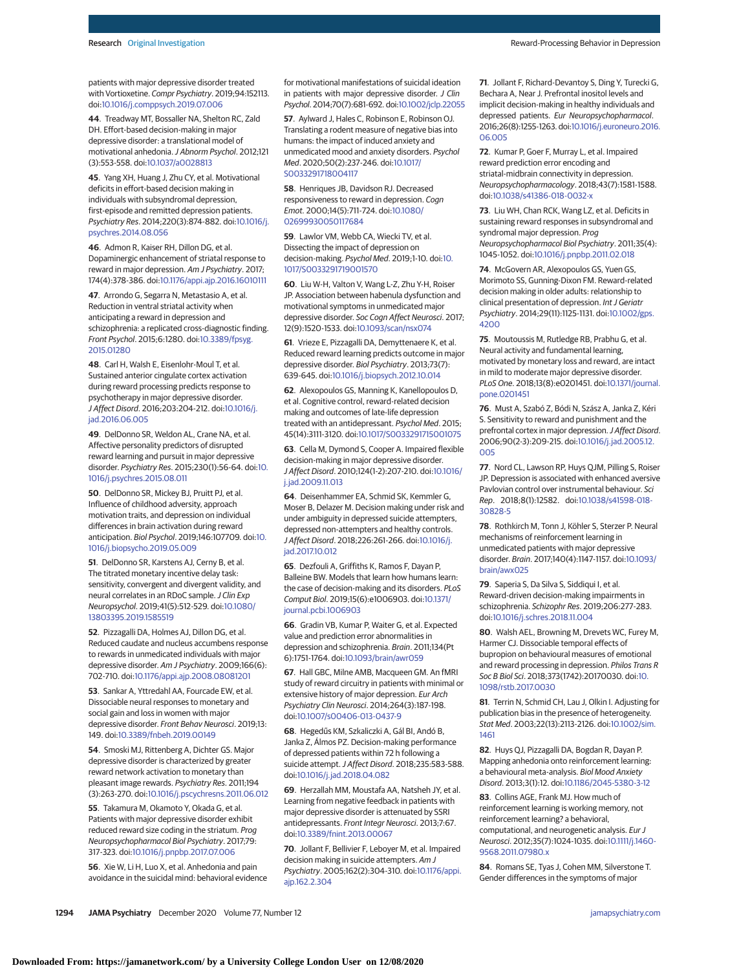patients with major depressive disorder treated with Vortioxetine. Compr Psychiatry. 2019;94:152113. doi[:10.1016/j.comppsych.2019.07.006](https://dx.doi.org/10.1016/j.comppsych.2019.07.006)

**44**. Treadway MT, Bossaller NA, Shelton RC, Zald DH. Effort-based decision-making in major depressive disorder: a translational model of motivational anhedonia.J Abnorm Psychol. 2012;121 (3):553-558. doi[:10.1037/a0028813](https://dx.doi.org/10.1037/a0028813)

**45**. Yang XH, Huang J, Zhu CY, et al. Motivational deficits in effort-based decision making in individuals with subsyndromal depression, first-episode and remitted depression patients. Psychiatry Res. 2014;220(3):874-882. doi[:10.1016/j.](https://dx.doi.org/10.1016/j.psychres.2014.08.056) [psychres.2014.08.056](https://dx.doi.org/10.1016/j.psychres.2014.08.056)

**46**. Admon R, Kaiser RH, Dillon DG, et al. Dopaminergic enhancement of striatal response to reward in major depression. Am J Psychiatry. 2017; 174(4):378-386. doi[:10.1176/appi.ajp.2016.16010111](https://dx.doi.org/10.1176/appi.ajp.2016.16010111)

**47**. Arrondo G, Segarra N, Metastasio A, et al. Reduction in ventral striatal activity when anticipating a reward in depression and schizophrenia: a replicated cross-diagnostic finding. Front Psychol. 2015;6:1280. doi[:10.3389/fpsyg.](https://dx.doi.org/10.3389/fpsyg.2015.01280) [2015.01280](https://dx.doi.org/10.3389/fpsyg.2015.01280)

**48**. Carl H, Walsh E, Eisenlohr-Moul T, et al. Sustained anterior cingulate cortex activation during reward processing predicts response to psychotherapy in major depressive disorder. J Affect Disord. 2016;203:204-212. doi[:10.1016/j.](https://dx.doi.org/10.1016/j.jad.2016.06.005) [jad.2016.06.005](https://dx.doi.org/10.1016/j.jad.2016.06.005)

**49**. DelDonno SR, Weldon AL, Crane NA, et al. Affective personality predictors of disrupted reward learning and pursuit in major depressive disorder. Psychiatry Res. 2015;230(1):56-64. doi[:10.](https://dx.doi.org/10.1016/j.psychres.2015.08.011) [1016/j.psychres.2015.08.011](https://dx.doi.org/10.1016/j.psychres.2015.08.011)

**50**. DelDonno SR, Mickey BJ, Pruitt PJ, et al. Influence of childhood adversity, approach motivation traits, and depression on individual differences in brain activation during reward anticipation. Biol Psychol. 2019;146:107709. doi[:10.](https://dx.doi.org/10.1016/j.biopsycho.2019.05.009) [1016/j.biopsycho.2019.05.009](https://dx.doi.org/10.1016/j.biopsycho.2019.05.009)

**51**. DelDonno SR, Karstens AJ, Cerny B, et al. The titrated monetary incentive delay task: sensitivity, convergent and divergent validity, and neural correlates in an RDoC sample. J Clin Exp Neuropsychol. 2019;41(5):512-529. doi[:10.1080/](https://dx.doi.org/10.1080/13803395.2019.1585519) [13803395.2019.1585519](https://dx.doi.org/10.1080/13803395.2019.1585519)

**52**. Pizzagalli DA, Holmes AJ, Dillon DG, et al. Reduced caudate and nucleus accumbens response to rewards in unmedicated individuals with major depressive disorder. Am J Psychiatry. 2009;166(6): 702-710. doi[:10.1176/appi.ajp.2008.08081201](https://dx.doi.org/10.1176/appi.ajp.2008.08081201)

**53**. Sankar A, Yttredahl AA, Fourcade EW, et al. Dissociable neural responses to monetary and social gain and loss in women with major depressive disorder. Front Behav Neurosci. 2019;13: 149. doi[:10.3389/fnbeh.2019.00149](https://dx.doi.org/10.3389/fnbeh.2019.00149)

**54**. Smoski MJ, Rittenberg A, Dichter GS. Major depressive disorder is characterized by greater reward network activation to monetary than pleasant image rewards. Psychiatry Res. 2011;194 (3):263-270. doi[:10.1016/j.pscychresns.2011.06.012](https://dx.doi.org/10.1016/j.pscychresns.2011.06.012)

**55**. Takamura M, Okamoto Y, Okada G, et al. Patients with major depressive disorder exhibit reduced reward size coding in the striatum. Prog Neuropsychopharmacol Biol Psychiatry. 2017;79: 317-323. doi[:10.1016/j.pnpbp.2017.07.006](https://dx.doi.org/10.1016/j.pnpbp.2017.07.006)

**56**. Xie W, Li H, Luo X, et al. Anhedonia and pain avoidance in the suicidal mind: behavioral evidence for motivational manifestations of suicidal ideation in patients with major depressive disorder. J Clin Psychol. 2014;70(7):681-692. doi[:10.1002/jclp.22055](https://dx.doi.org/10.1002/jclp.22055)

**57**. Aylward J, Hales C, Robinson E, Robinson OJ. Translating a rodent measure of negative bias into humans: the impact of induced anxiety and unmedicated mood and anxiety disorders. Psychol Med. 2020;50(2):237-246. doi[:10.1017/](https://dx.doi.org/10.1017/S0033291718004117) [S0033291718004117](https://dx.doi.org/10.1017/S0033291718004117)

**58**. Henriques JB, Davidson RJ. Decreased responsiveness to reward in depression. Cogn Emot. 2000;14(5):711-724. doi[:10.1080/](https://dx.doi.org/10.1080/02699930050117684) [02699930050117684](https://dx.doi.org/10.1080/02699930050117684)

**59**. Lawlor VM, Webb CA, Wiecki TV, et al. Dissecting the impact of depression on decision-making. Psychol Med. 2019;1-10. doi[:10.](https://dx.doi.org/10.1017/S0033291719001570) [1017/S0033291719001570](https://dx.doi.org/10.1017/S0033291719001570)

**60**. Liu W-H, Valton V, Wang L-Z, Zhu Y-H, Roiser JP. Association between habenula dysfunction and motivational symptoms in unmedicated major depressive disorder. Soc Cogn Affect Neurosci. 2017; 12(9):1520-1533. doi[:10.1093/scan/nsx074](https://dx.doi.org/10.1093/scan/nsx074)

**61**. Vrieze E, Pizzagalli DA, Demyttenaere K, et al. Reduced reward learning predicts outcome in major depressive disorder. Biol Psychiatry. 2013;73(7): 639-645. doi[:10.1016/j.biopsych.2012.10.014](https://dx.doi.org/10.1016/j.biopsych.2012.10.014)

**62**. Alexopoulos GS, Manning K, Kanellopoulos D, et al. Cognitive control, reward-related decision making and outcomes of late-life depression treated with an antidepressant. Psychol Med. 2015; 45(14):3111-3120. doi[:10.1017/S0033291715001075](https://dx.doi.org/10.1017/S0033291715001075)

**63**. Cella M, Dymond S, Cooper A. Impaired flexible decision-making in major depressive disorder. J Affect Disord. 2010;124(1-2):207-210. doi[:10.1016/](https://dx.doi.org/10.1016/j.jad.2009.11.013) [j.jad.2009.11.013](https://dx.doi.org/10.1016/j.jad.2009.11.013)

**64**. Deisenhammer EA, Schmid SK, Kemmler G, Moser B, Delazer M. Decision making under risk and under ambiguity in depressed suicide attempters, depressed non-attempters and healthy controls. J Affect Disord. 2018;226:261-266. doi[:10.1016/j.](https://dx.doi.org/10.1016/j.jad.2017.10.012) [jad.2017.10.012](https://dx.doi.org/10.1016/j.jad.2017.10.012)

**65**. Dezfouli A, Griffiths K, Ramos F, Dayan P, Balleine BW. Models that learn how humans learn: the case of decision-making and its disorders. PLoS Comput Biol. 2019;15(6):e1006903. doi[:10.1371/](https://dx.doi.org/10.1371/journal.pcbi.1006903) [journal.pcbi.1006903](https://dx.doi.org/10.1371/journal.pcbi.1006903)

**66**. Gradin VB, Kumar P, Waiter G, et al. Expected value and prediction error abnormalities in depression and schizophrenia. Brain. 2011;134(Pt 6):1751-1764. doi[:10.1093/brain/awr059](https://dx.doi.org/10.1093/brain/awr059)

**67**. Hall GBC, Milne AMB, Macqueen GM. An fMRI study of reward circuitry in patients with minimal or extensive history of major depression. Eur Arch Psychiatry Clin Neurosci. 2014;264(3):187-198. doi[:10.1007/s00406-013-0437-9](https://dx.doi.org/10.1007/s00406-013-0437-9)

**68**. Hegedűs KM, Szkaliczki A, Gál BI, Andó B, Janka Z, Álmos PZ. Decision-making performance of depressed patients within 72 h following a suicide attempt.J Affect Disord. 2018;235:583-588. doi[:10.1016/j.jad.2018.04.082](https://dx.doi.org/10.1016/j.jad.2018.04.082)

**69**. Herzallah MM, Moustafa AA, Natsheh JY, et al. Learning from negative feedback in patients with major depressive disorder is attenuated by SSRI antidepressants. Front Integr Neurosci. 2013;7:67. doi[:10.3389/fnint.2013.00067](https://dx.doi.org/10.3389/fnint.2013.00067)

**70**. Jollant F, Bellivier F, Leboyer M, et al. Impaired decision making in suicide attempters. Am J Psychiatry. 2005;162(2):304-310. doi[:10.1176/appi.](https://dx.doi.org/10.1176/appi.ajp.162.2.304) [ajp.162.2.304](https://dx.doi.org/10.1176/appi.ajp.162.2.304)

**71**. Jollant F, Richard-Devantoy S, Ding Y, Turecki G, Bechara A, Near J. Prefrontal inositol levels and implicit decision-making in healthy individuals and depressed patients. Eur Neuropsychopharmacol. 2016;26(8):1255-1263. doi[:10.1016/j.euroneuro.2016.](https://dx.doi.org/10.1016/j.euroneuro.2016.06.005) [06.005](https://dx.doi.org/10.1016/j.euroneuro.2016.06.005)

**72**. Kumar P, Goer F, Murray L, et al. Impaired reward prediction error encoding and striatal-midbrain connectivity in depression. Neuropsychopharmacology. 2018;43(7):1581-1588. doi[:10.1038/s41386-018-0032-x](https://dx.doi.org/10.1038/s41386-018-0032-x)

**73**. Liu WH, Chan RCK, Wang LZ, et al. Deficits in sustaining reward responses in subsyndromal and syndromal major depression. Prog Neuropsychopharmacol Biol Psychiatry. 2011;35(4): 1045-1052. doi[:10.1016/j.pnpbp.2011.02.018](https://dx.doi.org/10.1016/j.pnpbp.2011.02.018)

**74**. McGovern AR, Alexopoulos GS, Yuen GS, Morimoto SS, Gunning-Dixon FM. Reward-related decision making in older adults: relationship to clinical presentation of depression. Int J Geriatr Psychiatry. 2014;29(11):1125-1131. doi[:10.1002/gps.](https://dx.doi.org/10.1002/gps.4200) [4200](https://dx.doi.org/10.1002/gps.4200)

**75**. Moutoussis M, Rutledge RB, Prabhu G, et al. Neural activity and fundamental learning, motivated by monetary loss and reward, are intact in mild to moderate major depressive disorder. PLoS One. 2018;13(8):e0201451. doi[:10.1371/journal.](https://dx.doi.org/10.1371/journal.pone.0201451) [pone.0201451](https://dx.doi.org/10.1371/journal.pone.0201451)

**76**. Must A, Szabó Z, Bódi N, Szász A, Janka Z, Kéri S. Sensitivity to reward and punishment and the prefrontal cortex in major depression.J Affect Disord. 2006;90(2-3):209-215. doi[:10.1016/j.jad.2005.12.](https://dx.doi.org/10.1016/j.jad.2005.12.005) [005](https://dx.doi.org/10.1016/j.jad.2005.12.005)

**77**. Nord CL, Lawson RP, Huys QJM, Pilling S, Roiser JP. Depression is associated with enhanced aversive Pavlovian control over instrumental behaviour. Sci Rep. 2018;8(1):12582. doi[:10.1038/s41598-018-](https://dx.doi.org/10.1038/s41598-018-30828-5) [30828-5](https://dx.doi.org/10.1038/s41598-018-30828-5)

**78**. Rothkirch M, Tonn J, Köhler S, Sterzer P. Neural mechanisms of reinforcement learning in unmedicated patients with major depressive disorder. Brain. 2017;140(4):1147-1157. doi[:10.1093/](https://dx.doi.org/10.1093/brain/awx025) [brain/awx025](https://dx.doi.org/10.1093/brain/awx025)

**79**. Saperia S, Da Silva S, Siddiqui I, et al. Reward-driven decision-making impairments in schizophrenia. Schizophr Res. 2019;206:277-283. doi[:10.1016/j.schres.2018.11.004](https://dx.doi.org/10.1016/j.schres.2018.11.004)

**80**. Walsh AEL, Browning M, Drevets WC, Furey M, Harmer CJ. Dissociable temporal effects of bupropion on behavioural measures of emotional and reward processing in depression. Philos Trans R Soc B Biol Sci. 2018;373(1742):20170030. doi[:10.](https://dx.doi.org/10.1098/rstb.2017.0030) [1098/rstb.2017.0030](https://dx.doi.org/10.1098/rstb.2017.0030)

**81**. Terrin N, Schmid CH, Lau J, Olkin I. Adjusting for publication bias in the presence of heterogeneity. Stat Med. 2003;22(13):2113-2126. doi[:10.1002/sim.](https://dx.doi.org/10.1002/sim.1461) [1461](https://dx.doi.org/10.1002/sim.1461)

**82**. Huys QJ, Pizzagalli DA, Bogdan R, Dayan P. Mapping anhedonia onto reinforcement learning: a behavioural meta-analysis. Biol Mood Anxiety Disord. 2013;3(1):12. doi[:10.1186/2045-5380-3-12](https://dx.doi.org/10.1186/2045-5380-3-12)

**83**. Collins AGE, Frank MJ. How much of reinforcement learning is working memory, not reinforcement learning? a behavioral, computational, and neurogenetic analysis. Eur J Neurosci. 2012;35(7):1024-1035. doi[:10.1111/j.1460-](https://dx.doi.org/10.1111/j.1460-9568.2011.07980.x) [9568.2011.07980.x](https://dx.doi.org/10.1111/j.1460-9568.2011.07980.x)

**84**. Romans SE, Tyas J, Cohen MM, Silverstone T. Gender differences in the symptoms of major